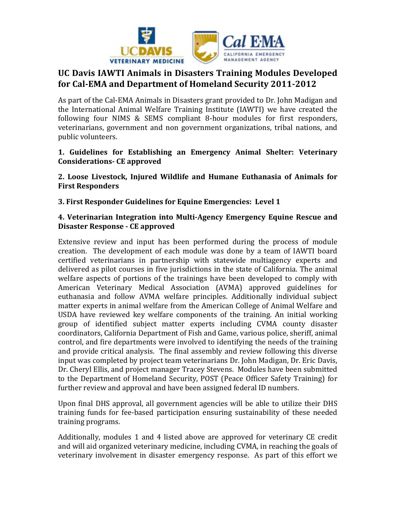

## **UC Davis IAWTI Animals in Disasters Training Modules Developed** for Cal-EMA and Department of Homeland Security 2011-2012

As part of the Cal-EMA Animals in Disasters grant provided to Dr. John Madigan and the International Animal Welfare Training Institute (IAWTI) we have created the following four NIMS & SEMS compliant 8-hour modules for first responders, veterinarians, government and non government organizations, tribal nations, and public volunteers.

1. Guidelines for Establishing an Emergency Animal Shelter: Veterinary **Considerations- CE approved** 

2. Loose Livestock, Injured Wildlife and Humane Euthanasia of Animals for **First Responders** 

**3. First Responder Guidelines for Equine Emergencies: Level 1** 

## **4. Veterinarian Integration into Multi-Agency Emergency Equine Rescue and Disaster Response - CE approved**

Extensive review and input has been performed during the process of module creation. The development of each module was done by a team of IAWTI board certified veterinarians in partnership with statewide multiagency experts and delivered as pilot courses in five jurisdictions in the state of California. The animal welfare aspects of portions of the trainings have been developed to comply with American Veterinary Medical Association (AVMA) approved guidelines for euthanasia and follow AVMA welfare principles. Additionally individual subject matter experts in animal welfare from the American College of Animal Welfare and USDA have reviewed key welfare components of the training. An initial working group of identified subject matter experts including CVMA county disaster coordinators, California Department of Fish and Game, various police, sheriff, animal control, and fire departments were involved to identifying the needs of the training and provide critical analysis. The final assembly and review following this diverse input was completed by project team veterinarians Dr. John Madigan, Dr. Eric Davis, Dr. Cheryl Ellis, and project manager Tracey Stevens. Modules have been submitted to the Department of Homeland Security, POST (Peace Officer Safety Training) for further review and approval and have been assigned federal ID numbers.

Upon final DHS approval, all government agencies will be able to utilize their DHS training funds for fee-based participation ensuring sustainability of these needed training programs.

Additionally, modules 1 and 4 listed above are approved for veterinary CE credit and will aid organized veterinary medicine, including CVMA, in reaching the goals of veterinary involvement in disaster emergency response. As part of this effort we